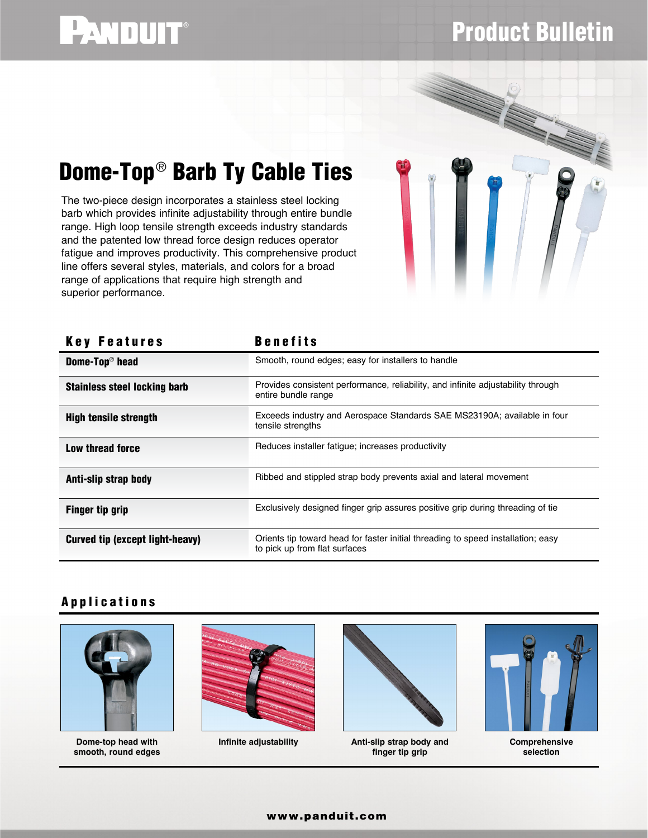# PANDUIT®

Dome-Top® Barb Ty Cable Ties

The two-piece design incorporates a stainless steel locking barb which provides infinite adjustability through entire bundle range. High loop tensile strength exceeds industry standards and the patented low thread force design reduces operator fatigue and improves productivity. This comprehensive product line offers several styles, materials, and colors for a broad

range of applications that require high strength and

## Product Bulletin



### Anti-slip strap body **Anti-slip strap body** Ribbed and stippled strap body prevents axial and lateral movement **Finger tip grip Exclusively designed finger grip assures positive grip during threading of tie** Key Features Benefits **Dome-Top<sup>®</sup> head** Smooth, round edges; easy for installers to handle Stainless steel locking barb **Provides consistent performance**, reliability, and infinite adjustability through entire bundle range High tensile strength Exceeds industry and Aerospace Standards SAE MS23190A; available in four tensile strengths **Low thread force EXECUTE:** Reduces installer fatigue; increases productivity **Curved tip (except light-heavy)** Orients tip toward head for faster initial threading to speed installation; easy to pick up from flat surfaces superior performance.

#### Applications



**Dome-top head with smooth, round edges**





**Infinite adjustability Anti-slip strap body and finger tip grip**



**Comprehensive selection**

#### www.panduit.com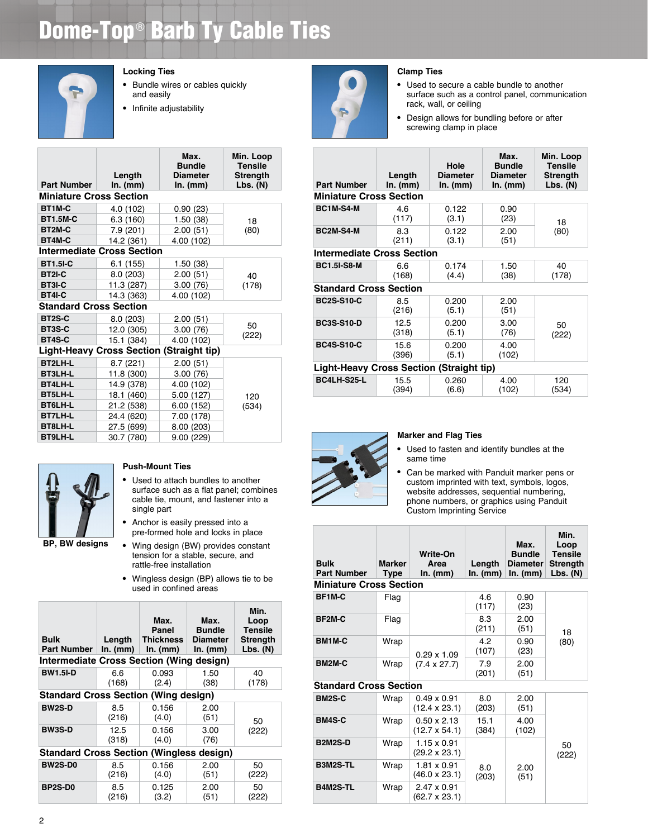### Dome-Top® Barb Ty Cable Ties



#### **Locking Ties**

- Bundle wires or cables quickly and easily
- Infinite adjustability

| <b>Part Number</b>             | Length<br>In. (mm)                              | Max.<br><b>Bundle</b><br><b>Diameter</b><br>In. (mm) | Min. Loop<br><b>Tensile</b><br><b>Strength</b><br>Lbs. (N) |
|--------------------------------|-------------------------------------------------|------------------------------------------------------|------------------------------------------------------------|
| <b>Miniature Cross Section</b> |                                                 |                                                      |                                                            |
| BT1M-C                         | 4.0 (102)                                       | 0.90(23)                                             |                                                            |
| <b>BT1.5M-C</b>                | 6.3(160)                                        | 1.50(38)                                             | 18                                                         |
| BT2M-C                         | 7.9(201)                                        | 2.00(51)                                             | (80)                                                       |
| BT4M-C                         | 14.2 (361)                                      | 4.00 (102)                                           |                                                            |
|                                | <b>Intermediate Cross Section</b>               |                                                      |                                                            |
| <b>BT1.5I-C</b>                | 6.1(155)                                        | 1.50(38)                                             |                                                            |
| <b>BT2I-C</b>                  | 8.0(203)                                        | 2.00(51)                                             | 40                                                         |
| BT3I-C                         | 11.3 (287)                                      | 3.00(76)                                             | (178)                                                      |
| <b>BT4I-C</b>                  | 14.3 (363)                                      | 4.00 (102)                                           |                                                            |
| <b>Standard Cross Section</b>  |                                                 |                                                      |                                                            |
| BT2S-C                         | 8.0(203)                                        | 2.00(51)                                             |                                                            |
| BT3S-C                         | 12.0 (305)                                      | 3.00(76)                                             | 50                                                         |
| BT4S-C                         | 15.1 (384)                                      | 4.00 (102)                                           | (222)                                                      |
|                                | <b>Light-Heavy Cross Section (Straight tip)</b> |                                                      |                                                            |
| BT2LH-L                        | 8.7(221)                                        | 2.00(51)                                             |                                                            |
| <b>BT3LH-L</b>                 | 11.8 (300)                                      | 3.00(76)                                             |                                                            |
| <b>BT4LH-L</b>                 | 14.9 (378)                                      | 4.00 (102)                                           |                                                            |
| <b>BT5LH-L</b>                 | 18.1 (460)                                      | 5.00 (127)                                           | 120                                                        |
| BT6LH-L                        | 21.2 (538)                                      | 6.00(152)                                            | (534)                                                      |
| <b>BT7LH-L</b>                 | 24.4 (620)                                      | 7.00 (178)                                           |                                                            |
| BT8LH-L                        | 27.5 (699)                                      | 8.00 (203)                                           |                                                            |
| <b>BT9LH-L</b>                 | 30.7 (780)                                      | 9.00(229)                                            |                                                            |



#### **Push-Mount Ties**

- Used to attach bundles to another surface such as a flat panel; combines cable tie, mount, and fastener into a single part
- Anchor is easily pressed into a pre-formed hole and locks in place
- Wing design (BW) provides constant tension for a stable, secure, and rattle-free installation
- Wingless design (BP) allows tie to be used in confined areas

| <b>Bulk</b><br><b>Part Number</b>               | Length<br>In. (mm) | Max.<br>Panel<br><b>Thickness</b><br>$In.$ (mm) | Max.<br><b>Bundle</b><br><b>Diameter</b><br>$In.$ (mm) | Min.<br>Loop<br><b>Tensile</b><br>Strength<br>$Lbs.$ (N) |  |  |
|-------------------------------------------------|--------------------|-------------------------------------------------|--------------------------------------------------------|----------------------------------------------------------|--|--|
| Intermediate Cross Section (Wing design)        |                    |                                                 |                                                        |                                                          |  |  |
| <b>BW1.5I-D</b>                                 | 6.6<br>(168)       | 0.093<br>(2.4)                                  | 1.50<br>(38)                                           | 40<br>(178)                                              |  |  |
| <b>Standard Cross Section (Wing design)</b>     |                    |                                                 |                                                        |                                                          |  |  |
| <b>BW2S-D</b>                                   | 8.5<br>(216)       | 0.156<br>(4.0)                                  | 2.00<br>(51)                                           | 50                                                       |  |  |
| <b>BW3S-D</b>                                   | 12.5<br>(318)      | 0.156<br>(4.0)                                  | 3.00<br>(76)                                           | (222)                                                    |  |  |
| <b>Standard Cross Section (Wingless design)</b> |                    |                                                 |                                                        |                                                          |  |  |
| <b>BW2S-D0</b>                                  | 8.5<br>(216)       | 0.156<br>(4.0)                                  | 2.00<br>(51)                                           | 50<br>(222)                                              |  |  |
| BP2S-D0                                         | 8.5<br>(216)       | 0.125<br>(3.2)                                  | 2.00<br>(51)                                           | 50<br>(222)                                              |  |  |



#### **Clamp Ties**

- Used to secure a cable bundle to another surface such as a control panel, communication rack, wall, or ceiling
- Design allows for bundling before or after screwing clamp in place

| <b>Part Number</b>                       | Length<br>In. (mm) | Hole<br><b>Diameter</b><br>$In.$ (mm) | Max.<br><b>Bundle</b><br><b>Diameter</b><br>In. (mm) | Min. Loop<br><b>Tensile</b><br>Strength<br>Lbs. (N) |  |  |
|------------------------------------------|--------------------|---------------------------------------|------------------------------------------------------|-----------------------------------------------------|--|--|
| <b>Miniature Cross Section</b>           |                    |                                       |                                                      |                                                     |  |  |
| BC1M-S4-M                                | 4.6<br>(117)       | 0.122<br>(3.1)                        | 0.90<br>(23)                                         | 18                                                  |  |  |
| BC2M-S4-M                                | 83<br>(211)        | 0.122<br>(3.1)                        | 2.00<br>(51)                                         | (80)                                                |  |  |
| <b>Intermediate Cross Section</b>        |                    |                                       |                                                      |                                                     |  |  |
| <b>BC1.5I-S8-M</b>                       | 66<br>(168)        | 0.174<br>(4.4)                        | 1.50<br>(38)                                         | 40<br>(178)                                         |  |  |
| <b>Standard Cross Section</b>            |                    |                                       |                                                      |                                                     |  |  |
| <b>BC2S-S10-C</b>                        | 8.5<br>(216)       | 0.200<br>(5.1)                        | 2.00<br>(51)                                         |                                                     |  |  |
| <b>BC3S-S10-D</b>                        | 12.5<br>(318)      | 0.200<br>(5.1)                        | 3.00<br>(76)                                         | 50<br>(222)                                         |  |  |
| <b>BC4S-S10-C</b>                        | 15.6<br>(396)      | 0.200<br>(5.1)                        | 4.00<br>(102)                                        |                                                     |  |  |
| Light-Heavy Cross Section (Straight tip) |                    |                                       |                                                      |                                                     |  |  |
| BC4LH-S25-L                              | 15.5<br>(394)      | 0.260<br>(6.6)                        | 4.00<br>(102)                                        | 120<br>(534)                                        |  |  |



#### **Marker and Flag Ties**

- Used to fasten and identify bundles at the same time
- Can be marked with Panduit marker pens or custom imprinted with text, symbols, logos, website addresses, sequential numbering, phone numbers, or graphics using Panduit Custom Imprinting Service

| <b>Bulk</b><br><b>Part Number</b> | Marker<br>Type | Write-On<br>Area<br>In. (mm)               | Length<br>In. (mm) | Max.<br><b>Bundle</b><br><b>Diameter</b><br>In. (mm) | Min.<br>Loop<br><b>Tensile</b><br><b>Strength</b><br>Lbs. $(N)$ |  |
|-----------------------------------|----------------|--------------------------------------------|--------------------|------------------------------------------------------|-----------------------------------------------------------------|--|
| <b>Miniature Cross Section</b>    |                |                                            |                    |                                                      |                                                                 |  |
| BF1M-C                            | Flag           |                                            | 4.6<br>(117)       | 0.90<br>(23)                                         |                                                                 |  |
| BF2M-C                            | Flag           |                                            | 8.3<br>(211)       | 2.00<br>(51)                                         | 18                                                              |  |
| BM1M-C                            | Wrap           | $0.29 \times 1.09$                         | 4.2<br>(107)       | 0.90<br>(23)                                         | (80)                                                            |  |
| BM2M-C                            | Wrap           | $(7.4 \times 27.7)$                        | 7.9<br>(201)       | 2.00<br>(51)                                         |                                                                 |  |
| <b>Standard Cross Section</b>     |                |                                            |                    |                                                      |                                                                 |  |
| <b>BM2S-C</b>                     | Wrap           | $0.49 \times 0.91$<br>$(12.4 \times 23.1)$ | 8.0<br>(203)       | 2.00<br>(51)                                         |                                                                 |  |
| <b>BM4S-C</b>                     | Wrap           | $0.50 \times 2.13$<br>$(12.7 \times 54.1)$ | 15.1<br>(384)      | 4.00<br>(102)                                        |                                                                 |  |
| <b>B2M2S-D</b>                    | Wrap           | 1.15 x 0.91<br>$(29.2 \times 23.1)$        |                    |                                                      | 50<br>(222)                                                     |  |
| B3M2S-TL                          | Wrap           | 1.81 x 0.91<br>$(46.0 \times 23.1)$        | 80<br>(203)        | 2.00<br>(51)                                         |                                                                 |  |

(62.7 x 23.1)

**B4M2S-TL** Wrap 2.47 x 0.91

(203)

(51)